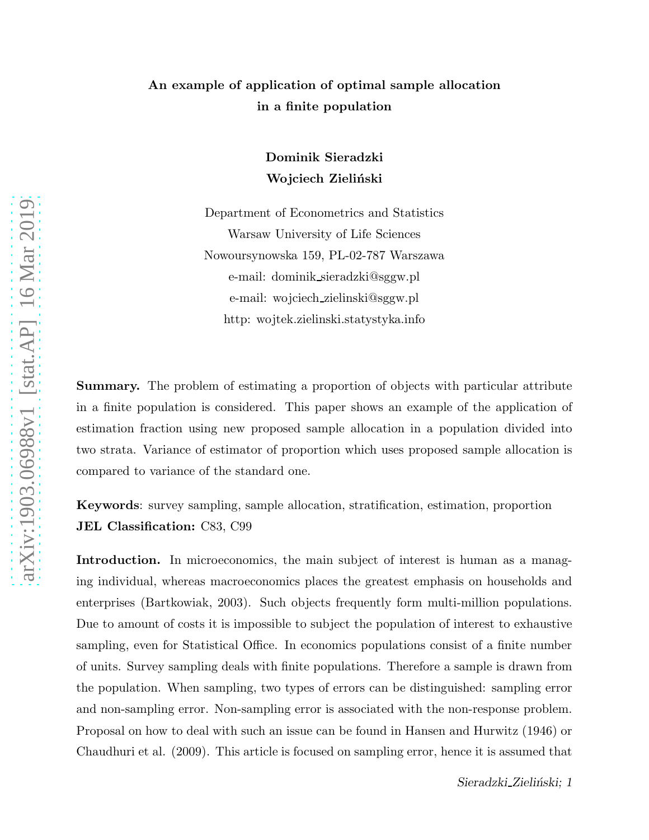## An example of application of optimal sample allocation in a finite population

Dominik Sieradzki Wojciech Zieliński

Department of Econometrics and Statistics Warsaw University of Life Sciences Nowoursynowska 159, PL-02-787 Warszawa e-mail: dominik sieradzki@sggw.pl e-mail: wojciech zielinski@sggw.pl http: wojtek.zielinski.statystyka.info

**Summary.** The problem of estimating a proportion of objects with particular attribute in a finite population is considered. This paper shows an example of the application of estimation fraction using new proposed sample allocation in a population divided into two strata. Variance of estimator of proportion which uses proposed sample allocation is compared to variance of the standard one.

Keywords: survey sampling, sample allocation, stratification, estimation, proportion JEL Classification: C83, C99

Introduction. In microeconomics, the main subject of interest is human as a managing individual, whereas macroeconomics places the greatest emphasis on households and enterprises (Bartkowiak, 2003). Such objects frequently form multi-million populations. Due to amount of costs it is impossible to subject the population of interest to exhaustive sampling, even for Statistical Office. In economics populations consist of a finite number of units. Survey sampling deals with finite populations. Therefore a sample is drawn from the population. When sampling, two types of errors can be distinguished: sampling error and non-sampling error. Non-sampling error is associated with the non-response problem. Proposal on how to deal with such an issue can be found in Hansen and Hurwitz (1946) or Chaudhuri et al. (2009). This article is focused on sampling error, hence it is assumed that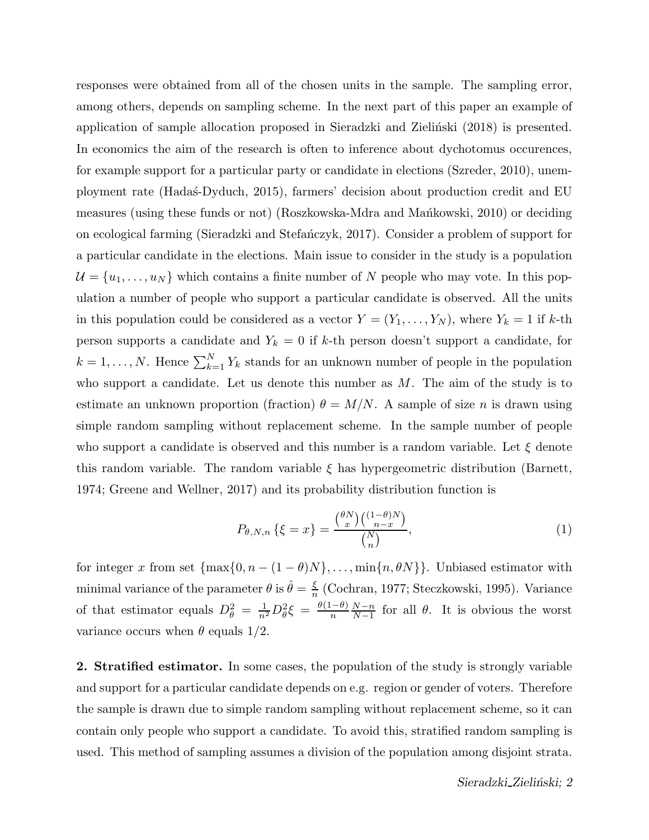responses were obtained from all of the chosen units in the sample. The sampling error, among others, depends on sampling scheme. In the next part of this paper an example of application of sample allocation proposed in Sieradzki and Zieliński (2018) is presented. In economics the aim of the research is often to inference about dychotomus occurences, for example support for a particular party or candidate in elections (Szreder, 2010), unemployment rate (Hada´s-Dyduch, 2015), farmers' decision about production credit and EU measures (using these funds or not) (Roszkowska-Mdra and Mańkowski, 2010) or deciding on ecological farming (Sieradzki and Stefa´nczyk, 2017). Consider a problem of support for a particular candidate in the elections. Main issue to consider in the study is a population  $\mathcal{U} = \{u_1, \ldots, u_N\}$  which contains a finite number of N people who may vote. In this population a number of people who support a particular candidate is observed. All the units in this population could be considered as a vector  $Y = (Y_1, \ldots, Y_N)$ , where  $Y_k = 1$  if k-th person supports a candidate and  $Y_k = 0$  if k-th person doesn't support a candidate, for  $k = 1, \ldots, N$ . Hence  $\sum_{k=1}^{N} Y_k$  stands for an unknown number of people in the population who support a candidate. Let us denote this number as  $M$ . The aim of the study is to estimate an unknown proportion (fraction)  $\theta = M/N$ . A sample of size n is drawn using simple random sampling without replacement scheme. In the sample number of people who support a candidate is observed and this number is a random variable. Let  $\xi$  denote this random variable. The random variable  $\xi$  has hypergeometric distribution (Barnett, 1974; Greene and Wellner, 2017) and its probability distribution function is

$$
P_{\theta,N,n}\{\xi = x\} = \frac{\binom{\theta N}{x}\binom{(1-\theta)N}{n-x}}{\binom{N}{n}},\tag{1}
$$

for integer x from set  $\{\max\{0, n - (1 - \theta)N\}, \ldots, \min\{n, \theta N\}\}\$ . Unbiased estimator with minimal variance of the parameter  $\theta$  is  $\hat{\theta} = \frac{\xi}{n}$  $\frac{5}{n}$  (Cochran, 1977; Steczkowski, 1995). Variance of that estimator equals  $D_{\theta}^2 = \frac{1}{n^2} D_{\theta}^2 \xi = \frac{\theta(1-\theta)}{n} \frac{N-n}{N-1}$  $\frac{N-n}{N-1}$  for all  $\theta$ . It is obvious the worst variance occurs when  $\theta$  equals 1/2.

2. Stratified estimator. In some cases, the population of the study is strongly variable and support for a particular candidate depends on e.g. region or gender of voters. Therefore the sample is drawn due to simple random sampling without replacement scheme, so it can contain only people who support a candidate. To avoid this, stratified random sampling is used. This method of sampling assumes a division of the population among disjoint strata.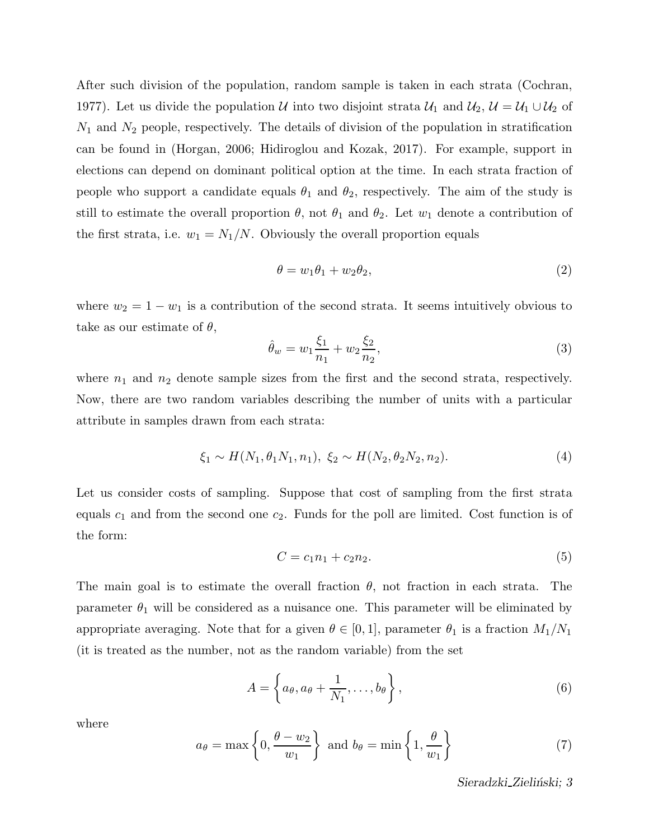After such division of the population, random sample is taken in each strata (Cochran, 1977). Let us divide the population U into two disjoint strata  $U_1$  and  $U_2$ ,  $U = U_1 \cup U_2$  of  $N_1$  and  $N_2$  people, respectively. The details of division of the population in stratification can be found in (Horgan, 2006; Hidiroglou and Kozak, 2017). For example, support in elections can depend on dominant political option at the time. In each strata fraction of people who support a candidate equals  $\theta_1$  and  $\theta_2$ , respectively. The aim of the study is still to estimate the overall proportion  $\theta$ , not  $\theta_1$  and  $\theta_2$ . Let  $w_1$  denote a contribution of the first strata, i.e.  $w_1 = N_1/N$ . Obviously the overall proportion equals

$$
\theta = w_1 \theta_1 + w_2 \theta_2, \tag{2}
$$

where  $w_2 = 1 - w_1$  is a contribution of the second strata. It seems intuitively obvious to take as our estimate of  $\theta$ ,

$$
\hat{\theta}_w = w_1 \frac{\xi_1}{n_1} + w_2 \frac{\xi_2}{n_2},\tag{3}
$$

where  $n_1$  and  $n_2$  denote sample sizes from the first and the second strata, respectively. Now, there are two random variables describing the number of units with a particular attribute in samples drawn from each strata:

$$
\xi_1 \sim H(N_1, \theta_1 N_1, n_1), \ \xi_2 \sim H(N_2, \theta_2 N_2, n_2). \tag{4}
$$

Let us consider costs of sampling. Suppose that cost of sampling from the first strata equals  $c_1$  and from the second one  $c_2$ . Funds for the poll are limited. Cost function is of the form:

$$
C = c_1 n_1 + c_2 n_2. \tag{5}
$$

The main goal is to estimate the overall fraction  $\theta$ , not fraction in each strata. The parameter  $\theta_1$  will be considered as a nuisance one. This parameter will be eliminated by appropriate averaging. Note that for a given  $\theta \in [0,1]$ , parameter  $\theta_1$  is a fraction  $M_1/N_1$ (it is treated as the number, not as the random variable) from the set

$$
A = \left\{ a_{\theta}, a_{\theta} + \frac{1}{N_1}, \dots, b_{\theta} \right\},\tag{6}
$$

where

$$
a_{\theta} = \max\left\{0, \frac{\theta - w_2}{w_1}\right\} \text{ and } b_{\theta} = \min\left\{1, \frac{\theta}{w_1}\right\} \tag{7}
$$

Sieradzki\_Zieliński; 3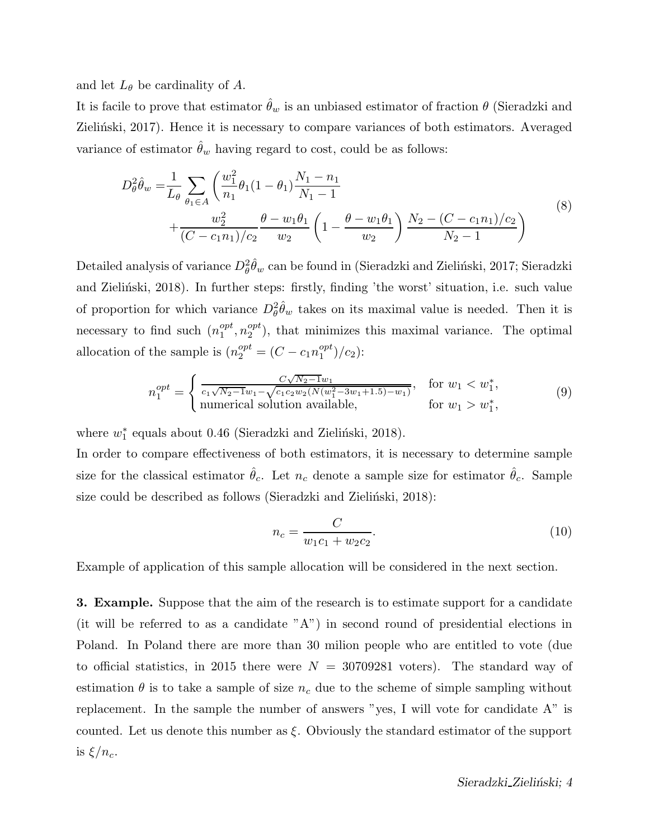and let  $L_{\theta}$  be cardinality of A.

It is facile to prove that estimator  $\hat{\theta}_w$  is an unbiased estimator of fraction  $\theta$  (Sieradzki and Zieliński, 2017). Hence it is necessary to compare variances of both estimators. Averaged variance of estimator  $\hat{\theta}_w$  having regard to cost, could be as follows:

$$
D_{\theta}^{2} \hat{\theta}_{w} = \frac{1}{L_{\theta}} \sum_{\theta_{1} \in A} \left( \frac{w_{1}^{2}}{n_{1}} \theta_{1} (1 - \theta_{1}) \frac{N_{1} - n_{1}}{N_{1} - 1} + \frac{w_{2}^{2}}{(C - c_{1} n_{1})/c_{2}} \frac{\theta - w_{1} \theta_{1}}{w_{2}} \left( 1 - \frac{\theta - w_{1} \theta_{1}}{w_{2}} \right) \frac{N_{2} - (C - c_{1} n_{1})/c_{2}}{N_{2} - 1} \right)
$$
\n(8)

Detailed analysis of variance  $D_\theta^2\hat{\theta}_w$  can be found in (Sieradzki and Zieliński, 2017; Sieradzki and Zielinski, 2018). In further steps: firstly, finding 'the worst' situation, i.e. such value of proportion for which variance  $D_{\theta}^2 \hat{\theta}_w$  takes on its maximal value is needed. Then it is necessary to find such  $(n_1^{opt}$  $_1^{opt}, n_2^{opt}$  $_{2}^{opt}$ ), that minimizes this maximal variance. The optimal allocation of the sample is  $(n_2^{opt} = (C - c_1 n_1^{opt})$  $\binom{opt}{1}/c_2$ :

$$
n_1^{opt} = \begin{cases} \frac{C\sqrt{N_2 - 1}w_1}{c_1\sqrt{N_2 - 1}w_1 - \sqrt{c_1c_2w_2(N(w_1^2 - 3w_1 + 1.5) - w_1)}}, & \text{for } w_1 < w_1^*,\\ \text{numerical solution available,} & \text{for } w_1 > w_1^*, \end{cases} \tag{9}
$$

where  $w_1^*$  equals about 0.46 (Sieradzki and Zieliński, 2018).

In order to compare effectiveness of both estimators, it is necessary to determine sample size for the classical estimator  $\hat{\theta}_c$ . Let  $n_c$  denote a sample size for estimator  $\hat{\theta}_c$ . Sample size could be described as follows (Sieradzki and Zieliński, 2018):

$$
n_c = \frac{C}{w_1 c_1 + w_2 c_2}.\tag{10}
$$

Example of application of this sample allocation will be considered in the next section.

3. Example. Suppose that the aim of the research is to estimate support for a candidate (it will be referred to as a candidate "A") in second round of presidential elections in Poland. In Poland there are more than 30 milion people who are entitled to vote (due to official statistics, in 2015 there were  $N = 30709281$  voters). The standard way of estimation  $\theta$  is to take a sample of size  $n_c$  due to the scheme of simple sampling without replacement. In the sample the number of answers "yes, I will vote for candidate A" is counted. Let us denote this number as  $\xi$ . Obviously the standard estimator of the support is  $\xi/n_c$ .

Sieradzki\_Zieliński; 4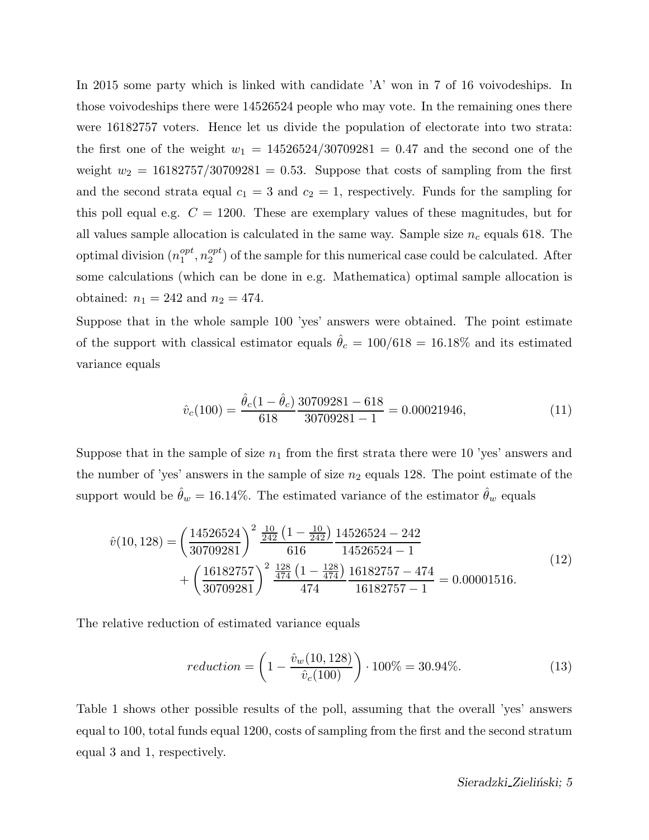In 2015 some party which is linked with candidate 'A' won in 7 of 16 voivodeships. In those voivodeships there were 14526524 people who may vote. In the remaining ones there were 16182757 voters. Hence let us divide the population of electorate into two strata: the first one of the weight  $w_1 = 14526524/30709281 = 0.47$  and the second one of the weight  $w_2 = 16182757/30709281 = 0.53$ . Suppose that costs of sampling from the first and the second strata equal  $c_1 = 3$  and  $c_2 = 1$ , respectively. Funds for the sampling for this poll equal e.g.  $C = 1200$ . These are exemplary values of these magnitudes, but for all values sample allocation is calculated in the same way. Sample size  $n_c$  equals 618. The optimal division  $(n_1^{opt}$  $_1^{opt}, n_2^{opt}$  $2<sup>opt</sup>$ ) of the sample for this numerical case could be calculated. After some calculations (which can be done in e.g. Mathematica) optimal sample allocation is obtained:  $n_1 = 242$  and  $n_2 = 474$ .

Suppose that in the whole sample 100 'yes' answers were obtained. The point estimate of the support with classical estimator equals  $\hat{\theta}_c = 100/618 = 16.18\%$  and its estimated variance equals

$$
\hat{v}_c(100) = \frac{\hat{\theta}_c(1 - \hat{\theta}_c)}{618} \frac{30709281 - 618}{30709281 - 1} = 0.00021946,\tag{11}
$$

Suppose that in the sample of size  $n_1$  from the first strata there were 10 'yes' answers and the number of 'yes' answers in the sample of size  $n_2$  equals 128. The point estimate of the support would be  $\hat{\theta}_w = 16.14\%$ . The estimated variance of the estimator  $\hat{\theta}_w$  equals

$$
\hat{v}(10, 128) = \left(\frac{14526524}{30709281}\right)^2 \frac{\frac{10}{242} \left(1 - \frac{10}{242}\right)}{616} \frac{14526524 - 242}{14526524 - 1} + \left(\frac{16182757}{30709281}\right)^2 \frac{\frac{128}{474} \left(1 - \frac{128}{474}\right)}{474} \frac{16182757 - 474}{16182757 - 1} = 0.00001516.
$$
\n(12)

The relative reduction of estimated variance equals

$$
reduction = \left(1 - \frac{\hat{v}_w(10, 128)}{\hat{v}_c(100)}\right) \cdot 100\% = 30.94\%.
$$
 (13)

Table 1 shows other possible results of the poll, assuming that the overall 'yes' answers equal to 100, total funds equal 1200, costs of sampling from the first and the second stratum equal 3 and 1, respectively.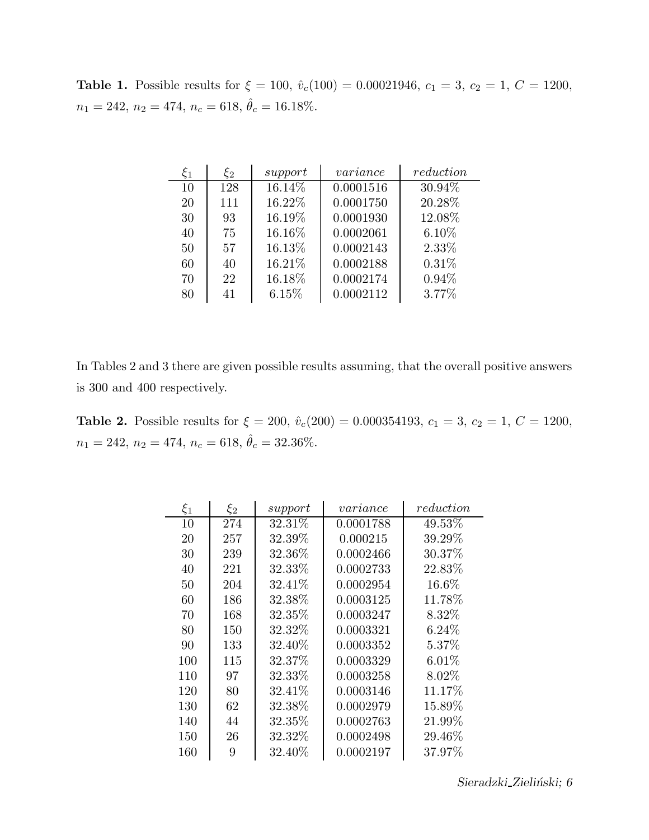Table 1. Possible results for  $\xi = 100$ ,  $\hat{v}_c(100) = 0.00021946$ ,  $c_1 = 3$ ,  $c_2 = 1$ ,  $C = 1200$ ,  $n_1 = 242, n_2 = 474, n_c = 618, \hat{\theta}_c = 16.18\%.$ 

| $\xi_1$ | $\xi_2$ | support | variance  | reduction |
|---------|---------|---------|-----------|-----------|
| 10      | 128     | 16.14%  | 0.0001516 | 30.94%    |
| 20      | 111     | 16.22%  | 0.0001750 | 20.28%    |
| 30      | 93      | 16.19%  | 0.0001930 | 12.08%    |
| 40      | 75      | 16.16%  | 0.0002061 | $6.10\%$  |
| 50      | 57      | 16.13%  | 0.0002143 | 2.33%     |
| 60      | 40      | 16.21%  | 0.0002188 | 0.31%     |
| 70      | 22      | 16.18%  | 0.0002174 | 0.94%     |
| 80      | 41      | 6.15%   | 0.0002112 | 3.77%     |

In Tables 2 and 3 there are given possible results assuming, that the overall positive answers is 300 and 400 respectively.

Table 2. Possible results for  $\xi = 200$ ,  $\hat{v}_c(200) = 0.000354193$ ,  $c_1 = 3$ ,  $c_2 = 1$ ,  $C = 1200$ ,  $n_1 = 242, n_2 = 474, n_c = 618, \hat{\theta}_c = 32.36\%.$ 

| $\xi_1$ | $\xi_2$ | support | variance  | reduction |
|---------|---------|---------|-----------|-----------|
| 10      | 274     | 32.31\% | 0.0001788 | 49.53%    |
| 20      | 257     | 32.39%  | 0.000215  | 39.29%    |
| 30      | 239     | 32.36\% | 0.0002466 | 30.37%    |
| 40      | 221     | 32.33%  | 0.0002733 | 22.83%    |
| 50      | 204     | 32.41\% | 0.0002954 | 16.6%     |
| 60      | 186     | 32.38%  | 0.0003125 | 11.78%    |
| 70      | 168     | 32.35\% | 0.0003247 | 8.32%     |
| 80      | 150     | 32.32%  | 0.0003321 | $6.24\%$  |
| 90      | 133     | 32.40\% | 0.0003352 | 5.37\%    |
| 100     | 115     | 32.37%  | 0.0003329 | $6.01\%$  |
| 110     | 97      | 32.33%  | 0.0003258 | 8.02\%    |
| 120     | 80      | 32.41%  | 0.0003146 | 11.17%    |
| 130     | 62      | 32.38%  | 0.0002979 | 15.89%    |
| 140     | 44      | 32.35%  | 0.0002763 | 21.99%    |
| 150     | 26      | 32.32\% | 0.0002498 | 29.46\%   |
| 160     | 9       | 32.40%  | 0.0002197 | 37.97%    |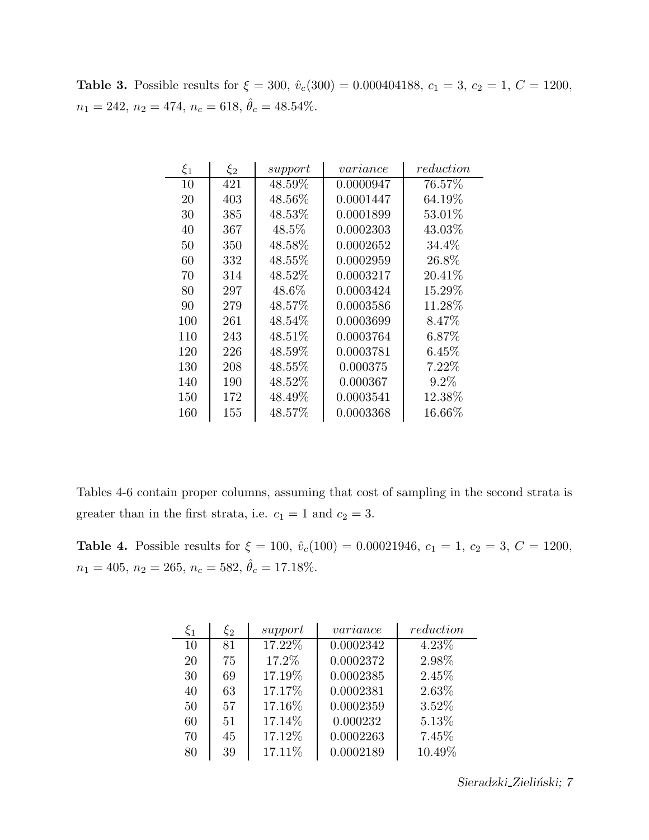Table 3. Possible results for  $\xi = 300$ ,  $\hat{v}_c(300) = 0.000404188$ ,  $c_1 = 3$ ,  $c_2 = 1$ ,  $C = 1200$ ,  $n_1 = 242, n_2 = 474, n_c = 618, \hat{\theta}_c = 48.54\%.$ 

| $\xi_1$ | $\xi_2$ | support   | variance  | reduction |
|---------|---------|-----------|-----------|-----------|
| 10      | 421     | 48.59%    | 0.0000947 | 76.57%    |
| 20      | 403     | 48.56%    | 0.0001447 | 64.19%    |
| 30      | 385     | 48.53%    | 0.0001899 | $53.01\%$ |
| 40      | 367     | $48.5\%$  | 0.0002303 | 43.03%    |
| 50      | 350     | 48.58%    | 0.0002652 | 34.4%     |
| 60      | 332     | 48.55%    | 0.0002959 | 26.8%     |
| 70      | 314     | 48.52%    | 0.0003217 | 20.41%    |
| 80      | 297     | $48.6\%$  | 0.0003424 | $15.29\%$ |
| 90      | 279     | 48.57%    | 0.0003586 | 11.28%    |
| 100     | 261     | 48.54%    | 0.0003699 | 8.47%     |
| 110     | 243     | $48.51\%$ | 0.0003764 | $6.87\%$  |
| 120     | 226     | 48.59%    | 0.0003781 | $6.45\%$  |
| 130     | 208     | 48.55%    | 0.000375  | 7.22%     |
| 140     | 190     | 48.52\%   | 0.000367  | $9.2\%$   |
| 150     | 172     | 48.49%    | 0.0003541 | 12.38%    |
| 160     | 155     | 48.57%    | 0.0003368 | 16.66%    |

Tables 4-6 contain proper columns, assuming that cost of sampling in the second strata is greater than in the first strata, i.e.  $c_1 = 1$  and  $c_2 = 3$ .

Table 4. Possible results for  $\xi = 100$ ,  $\hat{v}_c(100) = 0.00021946$ ,  $c_1 = 1$ ,  $c_2 = 3$ ,  $C = 1200$ ,  $n_1 = 405, n_2 = 265, n_c = 582, \hat{\theta}_c = 17.18\%.$ 

| $\xi_1$ | $\xi_2$ | support | variance  | reduction |
|---------|---------|---------|-----------|-----------|
| 10      | 81      | 17.22%  | 0.0002342 | $4.23\%$  |
| 20      | 75      | 17.2%   | 0.0002372 | 2.98%     |
| 30      | 69      | 17.19%  | 0.0002385 | 2.45%     |
| 40      | 63      | 17.17%  | 0.0002381 | 2.63%     |
| 50      | 57      | 17.16%  | 0.0002359 | 3.52%     |
| 60      | 51      | 17.14%  | 0.000232  | 5.13%     |
| 70      | 45      | 17.12%  | 0.0002263 | 7.45%     |
| 80      | 39      | 17.11%  | 0.0002189 | 10.49%    |

Sieradzki\_Zieliński; 7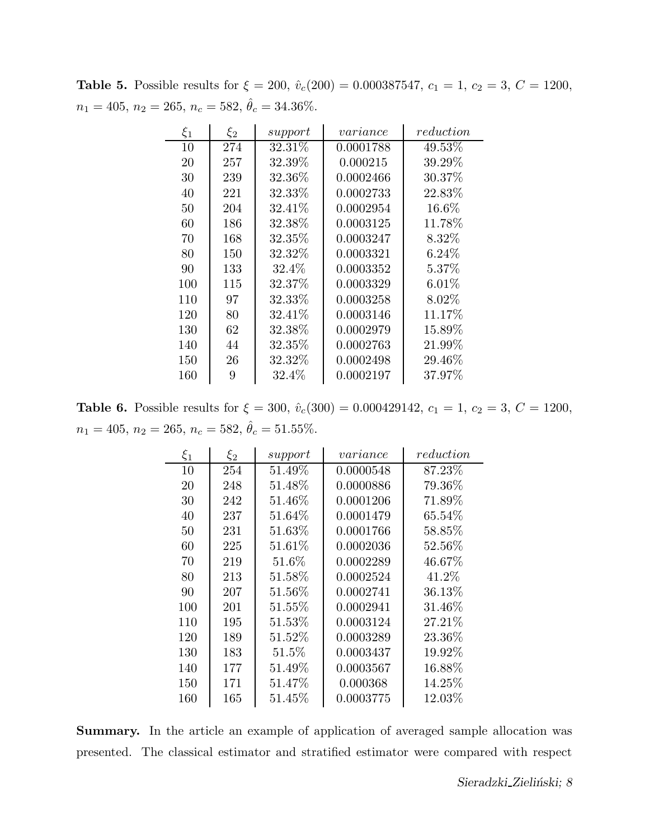Table 5. Possible results for  $\xi = 200$ ,  $\hat{v}_c(200) = 0.000387547$ ,  $c_1 = 1$ ,  $c_2 = 3$ ,  $C = 1200$ ,  $n_1 = 405, n_2 = 265, n_c = 582, \hat{\theta}_c = 34.36\%.$ 

| $\xi_1$ | $\xi_2$ | support | variance  | reduction |
|---------|---------|---------|-----------|-----------|
| 10      | 274     | 32.31%  | 0.0001788 | 49.53%    |
| 20      | 257     | 32.39%  | 0.000215  | 39.29%    |
| 30      | 239     | 32.36\% | 0.0002466 | 30.37%    |
| 40      | 221     | 32.33%  | 0.0002733 | 22.83%    |
| 50      | 204     | 32.41%  | 0.0002954 | 16.6%     |
| 60      | 186     | 32.38%  | 0.0003125 | 11.78%    |
| 70      | 168     | 32.35\% | 0.0003247 | 8.32\%    |
| 80      | 150     | 32.32%  | 0.0003321 | $6.24\%$  |
| 90      | 133     | 32.4\%  | 0.0003352 | $5.37\%$  |
| 100     | 115     | 32.37%  | 0.0003329 | 6.01%     |
| 110     | 97      | 32.33%  | 0.0003258 | 8.02\%    |
| 120     | 80      | 32.41\% | 0.0003146 | 11.17%    |
| 130     | 62      | 32.38%  | 0.0002979 | 15.89%    |
| 140     | 44      | 32.35%  | 0.0002763 | 21.99%    |
| 150     | 26      | 32.32\% | 0.0002498 | 29.46\%   |
| 160     | 9       | 32.4%   | 0.0002197 | 37.97%    |

Table 6. Possible results for  $\xi = 300$ ,  $\hat{v}_c(300) = 0.000429142$ ,  $c_1 = 1$ ,  $c_2 = 3$ ,  $C = 1200$ ,  $n_1 = 405, \, n_2 = 265, \, n_c = 582, \, \hat{\theta}_c = 51.55\%.$ 

| $\xi_1$ | $\xi_2$ | support  | variance  | reduction |
|---------|---------|----------|-----------|-----------|
| 10      | 254     | 51.49%   | 0.0000548 | 87.23%    |
| 20      | 248     | 51.48%   | 0.0000886 | 79.36%    |
| 30      | 242     | 51.46%   | 0.0001206 | 71.89%    |
| 40      | 237     | 51.64\%  | 0.0001479 | $65.54\%$ |
| 50      | 231     | 51.63%   | 0.0001766 | 58.85%    |
| 60      | 225     | 51.61%   | 0.0002036 | 52.56%    |
| 70      | 219     | $51.6\%$ | 0.0002289 | 46.67%    |
| 80      | 213     | 51.58%   | 0.0002524 | 41.2%     |
| 90      | 207     | 51.56%   | 0.0002741 | 36.13%    |
| 100     | 201     | 51.55%   | 0.0002941 | 31.46%    |
| 110     | 195     | 51.53%   | 0.0003124 | 27.21%    |
| 120     | 189     | 51.52\%  | 0.0003289 | 23.36%    |
| 130     | 183     | $51.5\%$ | 0.0003437 | 19.92%    |
| 140     | 177     | 51.49%   | 0.0003567 | 16.88%    |
| 150     | 171     | 51.47\%  | 0.000368  | 14.25\%   |
| 160     | 165     | 51.45\%  | 0.0003775 | 12.03%    |

Summary. In the article an example of application of averaged sample allocation was presented. The classical estimator and stratified estimator were compared with respect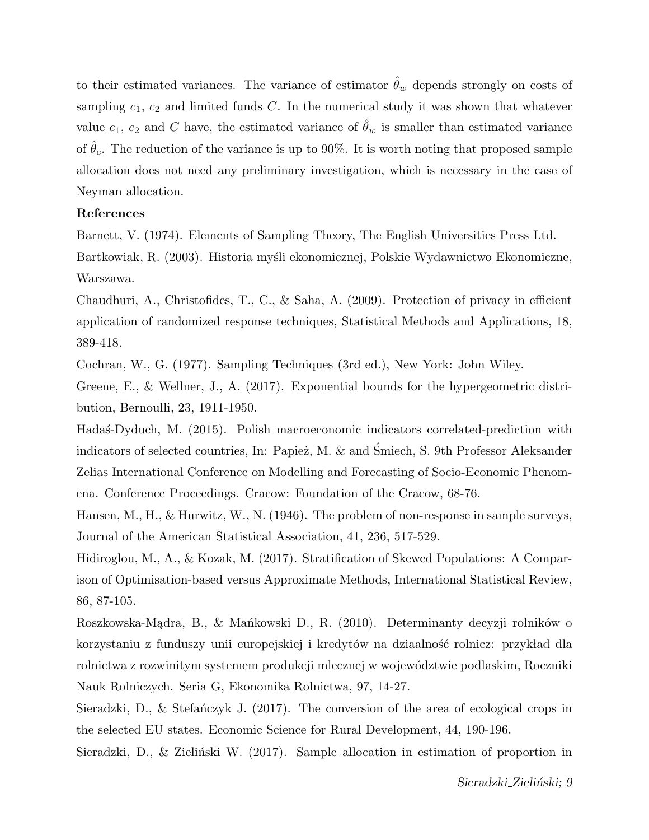to their estimated variances. The variance of estimator  $\theta_w$  depends strongly on costs of sampling  $c_1, c_2$  and limited funds C. In the numerical study it was shown that whatever value  $c_1, c_2$  and C have, the estimated variance of  $\hat{\theta}_w$  is smaller than estimated variance of  $\hat{\theta}_c$ . The reduction of the variance is up to 90%. It is worth noting that proposed sample allocation does not need any preliminary investigation, which is necessary in the case of Neyman allocation.

## References

Barnett, V. (1974). Elements of Sampling Theory, The English Universities Press Ltd. Bartkowiak, R. (2003). Historia myśli ekonomicznej, Polskie Wydawnictwo Ekonomiczne, Warszawa.

Chaudhuri, A., Christofides, T., C., & Saha, A. (2009). Protection of privacy in efficient application of randomized response techniques, Statistical Methods and Applications, 18, 389-418.

Cochran, W., G. (1977). Sampling Techniques (3rd ed.), New York: John Wiley.

Greene, E., & Wellner, J., A. (2017). Exponential bounds for the hypergeometric distribution, Bernoulli, 23, 1911-1950.

Hada's-Dyduch, M. (2015). Polish macroeconomic indicators correlated-prediction with indicators of selected countries, In: Papież, M. & and Śmiech, S. 9th Professor Aleksander Zelias International Conference on Modelling and Forecasting of Socio-Economic Phenomena. Conference Proceedings. Cracow: Foundation of the Cracow, 68-76.

Hansen, M., H., & Hurwitz, W., N. (1946). The problem of non-response in sample surveys, Journal of the American Statistical Association, 41, 236, 517-529.

Hidiroglou, M., A., & Kozak, M. (2017). Stratification of Skewed Populations: A Comparison of Optimisation-based versus Approximate Methods, International Statistical Review, 86, 87-105.

Roszkowska-Mądra, B., & Mańkowski D., R. (2010). Determinanty decyzji rolników o korzystaniu z funduszy unii europejskiej i kredytów na dziaalność rolnicz: przykład dla rolnictwa z rozwinitym systemem produkcji mlecznej w wojew´odztwie podlaskim, Roczniki Nauk Rolniczych. Seria G, Ekonomika Rolnictwa, 97, 14-27.

Sieradzki, D., & Stefanczyk J.  $(2017)$ . The conversion of the area of ecological crops in the selected EU states. Economic Science for Rural Development, 44, 190-196.

Sieradzki, D., & Zieliński W. (2017). Sample allocation in estimation of proportion in